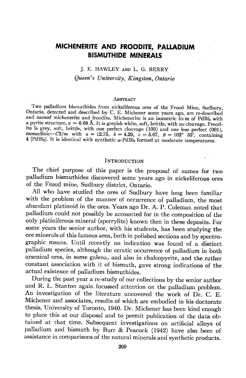# MICHENERITE AND FROODITE, PAILADIUM BI5MUTHIDE MINERALS

## J. E. HAWLEY AND L. G. BERRY Queen's University, Kingston, Ontario

#### **ABSTRACT**

I wo panadium bismuthides from nickeliferous ores of the Frood Mine, Sudbury, Ontario, detected and described by C. E. Michener some years ago, are re-described Two palladium bismuthides from nickeliferous ores of the Frood Mine, Sudbury, and named michenerite and froodite. Michenerite is an isometric form of PdBi<sub>2</sub> with a pyrite structure,  $a = 6.68$  Å. It is greyish white, soft, brittle, with no cleavage. Froodite is grey, soft, brittle, with one perfect cleavage (100) and one less periect (001), monoclinic- $C2/m$  with  $a = 12.75$ ,  $b = 4.29$ ,  $c = 5.67$ ,  $\beta = 102^{\circ}$  52<sup>'</sup>, containing  $4$  [PdBi<sub>2</sub>]. It is identical with synthetic  $\alpha$ -PdBi<sub>2</sub> formed at moderate temperatures.

### INTRODUCTION

 $\ddot{\mathbf{r}}$ 

The chief purpose of this paper is the proposal of names for two palladium bismuthides discovered some years ago in nickeliferous ores of the Frood mine, Sudbury district, Ontario.

All who have studied the ores of Sudbury have long been familiar with the problem of the manner of occurrence of paladium, the most abundant platinoid in the ores. Years ago Dr. A. P. Coleman noted that palladium could not possibly be accounted for in the composition of the only platiniferous mineral (sperrylite) known then in these deposits. For some years the senior author, with his students, has been studying the ore minerals of this famous area, both in polished sections and by spectrographic means. Until recently no indication was found of a distinct palladium species, although the erratic occurrence of palladium in both arsenical ores, in some galena, and also in chalcopyrite, and the rather constant association with it of bismuth, gave strong indications of the actual existence of palladium bismuthides.

During the past year a re-study of our collections by the senior author and R. L. stanton again focussed attention on the palladium problem. An investigation of the literature uncovered the work of Dr. C. E. Michener and associates, results of which are embodied in his doctorate thesis, University of Toronto, 1940. Dr. Michener has been kind enough to place this at our disposal and to permit publication of the data obtained at that time. Subsequent investigations on artificial alloys of palladium and bismuth by Burr & Peacock (1942) have also been of assistance in comparisons of the natural minerals and synthetic products-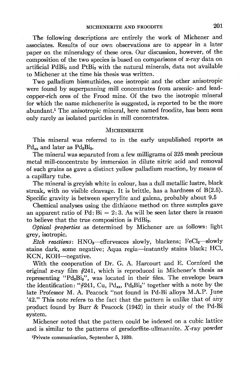The following descriptions are entirely the work of Michener and associates. Results of our own observations are to appear in a later paper on the mineralogy of these ores. Our discussion, however, of the composition of the two species is based on comparisons of  $x$ -ray data on artificial  $PdBi<sub>2</sub>$  and  $PtBi<sub>2</sub>$  with the natural minerals, data not available to Michener at the time his thesis was written.

Two palladium bismuthides, one isotropic and the other anisotropic were found by superpanning mill concentrates from arsenic- and leadcopper-rich ores of the Frood mine. Of the two the isotropic mineral for which the name michenerite is suggested, is reported to be the more abundant.<sup>1</sup> The anisotropic mineral, here named froodite, has been seen only rarely as isolated particles in mill concentrates.

#### MICHENERITE

This mineral was referred to in the early unpublished reports as  $Pd_{xx}$  and later as  $Pd_{2}Bi_{3}$ .

The mineral was separated from a few milligrams of 325 mesh precious metal mill-concentrate by immersion in dilute nitric acid and removal of such grains as gave a distinct yellow palladium reaction, by means of a capillary tube.

The mineral is greyish white in colour, has a dull metallic lustre, black streak, with no visible cleavage. It is brittle, has a hardness of  $B(2.5)$ . Specific gravity is between sperrylite and galena, probably about 9.5

Chemical analyses using the dithizone method on three samples gave an apparent ratio of Pd:  $Bi = 2:3$ . As will be seen later there is reason to believe that the true composition is PdBi<sub>2</sub>.

Optical properties as determined by Michener are as follows: light grey, isotropic.

Etch reactions:  $HNO<sub>s</sub>$ -effervesces slowly, blackens; FeCl<sub>a</sub>-slowly stains dark, some negative; Aqua regia-instantly stains black; HCl, KCN, KOH-negative.

With the cooperation of Dr. G. A. Harcourt and E. Cornford the original x-ray film  $#241$ , which is reproduced in Michener's thesis as representing "Pd<sub>2</sub>Bi<sub>3</sub>", was located in their files. The envelope bears the identification: "#241, Cu, Pd<sub>xx</sub>, Pd<sub>2</sub>Bi<sub>3</sub>" together with a note by the late Professor M. A. Peacock "not found in Pd-Bi alloys M.A.P. June '42." This note refers to the fact that the pattern is unlike that of ahy product found by Burr & Peacock (L942) in their study of the Pd-Bi system.

Michener noted that the pattern could be indexed on a cubic lattice and is similar to the patterns of gersdorffite-ullmannite.  $X$ -ray powder

rPrivate communication, September 5, 1939.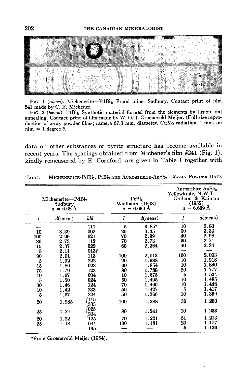

FIG. 1 (above). Michenerite-PdBi<sub>2</sub>, Frood mine, Sudbury. Contact print of film 241 made by C. E. Michener.

FIG. 2 (below). PtBi<sub>2</sub>, Synthetic material formed from the elements by fusion and annealing. Contact print of film made by W. O. J. Groeneveld Meijer. (Full size reproduction of x-ray powder films; camera 57.3 mm. diameter,  $CuK\alpha$  radiation, 1 mm. on film  $\approx$  1 degree  $\theta$ .

data on other substances of pyrite structure has become available in recent years. The spacings obtained from Michener's film  $#241$  (Fig. 1), kindly remeasured by E. Cornford, are given in Table 1 together with

| Michenerite-PdBi <sub>2</sub><br>Sudbury.<br>$a = 6.68$ A                     |                                                                                                              |                                                                                                        | PtBi <sub>2</sub><br>Wallbaum (1943)<br>$a = 6.696$ Å                            |                                                                                                                           | <b>Aurostibite AuSb2</b><br>Yellowknife, N.W.T.<br>Graham & Kaiman<br>(1952)<br>$a = 6.659$ Å |                                                                                                                       |
|-------------------------------------------------------------------------------|--------------------------------------------------------------------------------------------------------------|--------------------------------------------------------------------------------------------------------|----------------------------------------------------------------------------------|---------------------------------------------------------------------------------------------------------------------------|-----------------------------------------------------------------------------------------------|-----------------------------------------------------------------------------------------------------------------------|
| Ι                                                                             | $d$ (meas)                                                                                                   | hkl                                                                                                    | Ι                                                                                | $d$ (meas)                                                                                                                | Ι                                                                                             | $d$ (meas)                                                                                                            |
| 10<br>100<br>80<br>15<br>5<br>90<br>5<br>15<br>75<br>10<br>5<br>30<br>10<br>5 | 3.39<br>2.99<br>2.73<br>2.37<br>2.11<br>2.01<br>1.92<br>1.86<br>1.79<br>1.67<br>1.50<br>1.46<br>1.42<br>1.37 | 111<br>002<br>021<br>112<br>022<br>013?<br>113<br>222<br>023<br>123<br>004<br>024<br>124<br>233<br>224 | 5<br>20<br>70<br>70<br>60<br>100<br>20<br>60<br>80<br>10<br>50<br>70<br>50<br>50 | $3.85*$<br>3.35<br>2.99<br>2.73<br>2.364<br>2.013<br>1.938<br>1.854<br>1.788<br>1.675<br>1.495<br>1.460<br>1.427<br>1.366 | 10<br>50<br>40<br>30<br>40<br>100<br>10<br>10<br>20<br>5<br>10<br>10<br>5<br>10               | 3.83<br>3.33<br>2.98<br>2.71<br>2.34<br>2,003<br>1.918<br>1,840<br>1,777<br>1.524<br>1.485<br>1.448<br>1.417<br>1.356 |
| 20                                                                            | 1.285                                                                                                        | 115<br>333                                                                                             | 100                                                                              | 1,288                                                                                                                     | 30                                                                                            | 1.280                                                                                                                 |
| 25                                                                            | 1.24                                                                                                         | 025<br>234                                                                                             | 80                                                                               | 1.241                                                                                                                     | 10                                                                                            | 1.233                                                                                                                 |
| 20<br>25                                                                      | 1.22<br>1.18                                                                                                 | 125<br>044<br>135                                                                                      | 70<br>100                                                                        | 1.221<br>1.181                                                                                                            | 51<br>20<br>5                                                                                 | 1.213<br>1.177<br>1.126                                                                                               |
|                                                                               |                                                                                                              |                                                                                                        |                                                                                  |                                                                                                                           |                                                                                               |                                                                                                                       |

TABLE 1. MICHENERITE-PdBi<sub>2</sub>, PtBi<sub>2</sub> AND AUROSTIBITE-AuSb<sub>2</sub>-X-RAY POWDER DATA

\*From Gr@neveld Meijer (1954).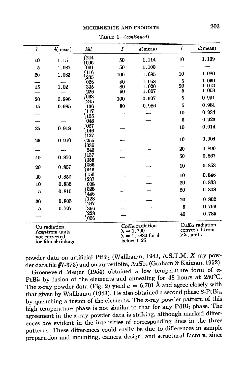| $\overline{I}$ | $d$ (meas)         | hkl        | $\overline{I}$ | $d$ (meas)            | I       | $d$ (meas)       |  |
|----------------|--------------------|------------|----------------|-----------------------|---------|------------------|--|
| 10             | 1.15               | 244        | 50             | 1.114                 | 10      | 1.109            |  |
| 5              | 1.087              | 006<br>061 | 50             | 1.100                 |         |                  |  |
|                |                    | 116        |                |                       | 10      | 1.080            |  |
| 20             | 1.083              | 235        | 100            | 1.085                 |         |                  |  |
|                |                    | 026        | 40             | 1.058                 | 5       | 1.050<br>1.013   |  |
| 15             | 1.02               | 335<br>226 | 80<br>50       | 1.020<br>1.007        | 20<br>5 | 1.003            |  |
|                |                    | 063        |                |                       |         | 0.991            |  |
| 20             | 0.996              | 245        | 100            | 0.997                 | 5       |                  |  |
| 15             | 0.985              | 136        | 80             | 0.986                 | 5       | 0.981            |  |
|                |                    | 117        |                |                       | 10      | 0.934            |  |
|                |                    | 155<br>046 |                |                       | 5       | 0.923            |  |
|                |                    | 027        |                |                       | 10      | 0.914            |  |
| 25             | 0.918              | 146        |                |                       |         |                  |  |
|                |                    | 127        |                |                       | 10      | 0.904            |  |
| 25             | 0.910              | 255        |                |                       |         |                  |  |
|                |                    | 336<br>246 |                |                       | 20      | 0.890            |  |
|                |                    | 137        |                |                       | 50      | 0.867            |  |
| 40             | 0.870              | 355        |                |                       |         |                  |  |
| 20             | 0.857              | 065        |                |                       | 10      | 0.853            |  |
|                |                    | 346<br>156 |                |                       |         |                  |  |
| 30             | 0.850              | 237        |                |                       | 10      | 0.846            |  |
| 10             | 0.835              | 008        |                |                       | 20      | 0.833            |  |
| 5              | 0.810              | 028        |                |                       | 20      | 0.808            |  |
|                |                    | 446        |                |                       |         |                  |  |
| 30             | 0.803              | 128<br>247 |                |                       | 20      | 0.802            |  |
| 5              | 0.797              | 356        |                |                       | 5       | 0.796            |  |
|                |                    | 228        |                |                       | 40      | 0.785            |  |
|                |                    | 006        |                |                       |         |                  |  |
|                | Cu radiation       |            |                | $CoK\alpha$ radiation |         | $CuKa$ radiation |  |
|                | Angstrom units     |            |                | $\lambda = 1.790$     |         | converted from   |  |
|                | not corrected      |            |                | $= 1.7889$ for d      |         | kX, units        |  |
|                | for film shrinkage |            |                | below 1.25            |         |                  |  |

 $TABLE 1—(continued)$ 

powder data on artificial PtBi<sub>2</sub> (Wallbaum, 1943, A.S.T.M. X-ray powder data file #7-373) and on aurostibite, AuSb<sub>2</sub> (Graham & Kaiman, 1952).

Groeneveld Meijer (1954) obtained a low temperature form of  $\alpha$ -PtBi<sub>2</sub> by fusion of the elements and annealing for  $48$  hours at  $250^{\circ}$ C. The x-ray powder data (Fig. 2) yield  $a = 6.701$  Å and agree closely with that given by Wallbaum (1943). He also obtained a second phase  $\beta$ -PtBi<sub>2</sub>, by quenching a fusion of the elements. The x-ray powder pattern of this high temperature phase is not similar to that for any PdBi<sub>2</sub> phase. The agreement in the x-ray powder data is striking, although marked differpatterns. These differences could easily be due to differences in sample ences are evident in the intensities of corresponding lines in the three preparation and mounting, camera design, and structural factors, since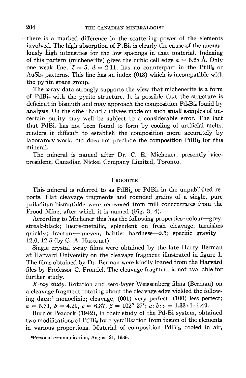there is a marked difference in the scattering power of the elements involved. The high absorption of  $PtBi<sub>2</sub>$  is clearly the cause of the anomalously high intensities for the low spacings in that material. Indexing of this pattern (michenerite) gives the cubic cell edge  $a = 6.68$  Å. Only one weak line,  $I = 5$ ,  $d = 2.11$ , has no counterpart in the PtBi<sub>2</sub> or  $AuSb<sub>2</sub>$  patterns. This line has an index (013) which is incompatible with the pyrite space group.

The  $x$ -ray data strongly supports the view that michenerite is a form of PdBis with the pyrite structure. It is possible that the structure is deficient in bismuth and may approach the composition  $Pd_2Bi_3$  found by analysis. On the other hand analyses made on such small samples of uncertain purity may well be subject to a considerable error. The fact that PdBiz has not been found to form by cooling of artificial melts, renders it difficult to establish the composition more accurately by laboratory work, but does not preclude the composition  $PdBi<sub>2</sub>$  for this mineral.

The mineral is named after Dr. C. E. Michener, presently vicepresident, Canadian Nickel Company Limited, Toronto.

#### FROODITE

This mineral is referred to as  $PdBi_x$  or  $PdBi_3$  in the unpublished reports. Flat cleavage fragments and rounded grains of a single, pure palladium-bismuthide were recovered from mill concentrates from the Frood Mine, after which it is named (Fig. 3, 4).

According to Michener this has the following properties: colour-grey, streak-black; lustre-metallic, splendent on fresh cleavage, tarnishes quickly; fracture—uneven, brittle; hardness—2.5; specific gravity— L2.6, L2.5 (bV G.A. Harcourt).

Single crystal x-ray films were obtained by the late Harry Berman at Harvard University on the cleavage fragment illustrated in figure L. The films obtained by Dr. Berman were kindly loaned from the Harvard files by Professor C. Frondel. The cleavage fragment is not available for further study.

X-ray study. Rotation and zero-layer Weissenberg films (Berman) on a cleavage fragment rotating about the cleavage edge yielded the following data:2 monoclinic; cleavage, (001) very perfect, (100) less perfect;  $a=5.71, b=4.29, c=6.37, \beta=102^{\circ} 27'; a:b:c=1.33:1:1.49.$ 

Burr & Peacock (1942), in their study of the Pd-Bi system, obtained two modifications of PdBi<sub>2</sub> by crystallization from fusion of the elements in various proportions. Material of composition PdBi<sub>2</sub>, cooled in air,

2Personal communication, August 21, 1939.

 $\ddot{\phantom{0}}$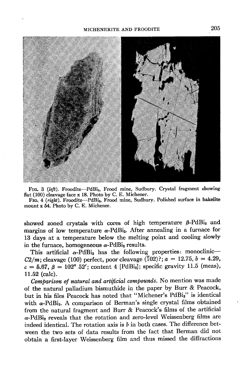

FIG. 3 (left). Froodite-PdBi<sub>2</sub>, Frood mine, Sudbury. Crystal fragment showing flat (100) cleavage face x 18. Photo by C. E. Michener.

FIG; 4 (right). Froodite-PdBi<sub>2</sub>, Frood mine, Sudbury. Polished surface in bakelite mount x 54. Photo by C. E. Michener.

showed zoned crystals with cores of high temperature  $\beta$ -PdBi<sub>2</sub> and margins of low temperature  $\alpha$ -PdBi<sub>2</sub>. After annealing in a furnace for 13 days at a temperature below the melting point and cooling slowly in the furnace, homogeneous  $\alpha$ -PdBi<sub>2</sub> results.

This artificial  $\alpha$ -PdBi<sub>2</sub> has the following properties: monoclinic- $C2/m$ ; cleavage (100) perfect, poor cleavage (102)?;  $a = 12.75, b = 4.29$ ,  $c=5.67$ ,  $\beta=102^{\circ}$  52'; content 4 [PdBi<sub>2</sub>]; specific gravity 11.5 (meas), 11.52 (calc).

Comparison of natural and artificial compounds. No mention was made of the natural palladium bismuthide in the paper by Burr & Peacock, but in his files Peacock has noted that "Michener's PdBig" is identical with  $\alpha$ -PdBi<sub>2</sub>. A comparison of Berman's single crystal films obtained from the natural fragment and Burr & Peacock's films of the artificial  $\alpha$ -PdBi<sub>2</sub> reveals that the rotation and zero-level Weissenberg films are indeed identical. The rotation axis is  $b$  in both cases. The difference between the two sets of data results from the fact that Berman did not obtain a first-layer Weissenberg film and thus missed the diffractions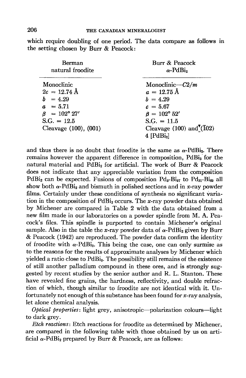which require doubling of one period. The data compare as follows in the setting chosen by Burr & Peacock:

| <b>Berman</b>             | Burr & Peacock                       |
|---------------------------|--------------------------------------|
| natural froodite          | $\alpha$ -PdBi <sub>2</sub>          |
| Monoclinic                | Monoclinic— $C2/m$                   |
| $2c = 12.74 \text{ Å}$    | $a = 12.75 \text{ Å}$                |
| $b = 4.29$                | $b = 4.29$                           |
| $a = 5.71$                | $c = 5.67$                           |
| $\beta = 102^{\circ} 27'$ | $\beta = 102^{\circ} 52'$            |
| $S.G. = 12.5$             | $S.G. = 11.5$                        |
| Cleavage (100), (001)     | Cleavage (100) and $\sqrt[T]{102}$ ) |
|                           | $4$ [PdBi <sub>2</sub> ]             |

and thus there is no doubt that froodite is the same as  $\alpha$ -PdBiz. There remains however the apparent difference in composition, PdBi<sub>3</sub> for the natural material and PdBi<sub>2</sub> for artificial. The work of Burr & Peacock does not indicate that any appreciable variation from the composition PdBi<sub>2</sub> can be expected. Fusions of composition  $Pd_{3}$ -Bi<sub>97</sub> to  $Pd_{31}$ -Bi<sub>99</sub> all show both  $\alpha$ -PdBi<sub>2</sub> and bismuth in polished sections and in x-ray powder films. Certainly under these conditions of synthesis no significant variation in the composition of  $PdBi<sub>2</sub>$  occurs. The x-ray powder data obtained by Michener are compared in Table 2 with the data obtained from a new film made in our laboratories on a powder spindle from M. A. Peacock's files. This spindle is purported to contain Michener's original sample. Also in the table the x-ray powder data of  $\alpha$ -PdBi<sub>2</sub> given by Burr & Peacock (1942) are reproduced. The powder data confirm the identity of froodite with  $\alpha$ -PdB<sub>1</sub>. This being the case, one can only surmise as to the reasons for the results of approximate analyses by Michener which yielded a ratio close to PdBi<sub>3</sub>. The possibility still remains of the existence of still another palladium compound in these ores, and is strongly suggested by recent studies by the senior author and R. L. Stanton, These have revealed fine grains, the hardness, reflectivity, and double refraction of which, though similar to froodite are not identical with it. Unfortunately not enough of this substance has been found for x-ray analysis, let alone chemical analysis.

Optical properties: light grey, anisotropic-polarization colours-light to dark grey.

Etch reactiow: Etch reactions for froodite as determined by Michener, are compared in the following table with those obtained by us on artificial  $\alpha$ -PdBi<sub>2</sub> prepared by Burr & Peacock, are as follows: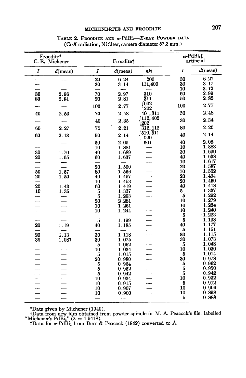## MICHENERITE AND FROODITE 207

| $\boldsymbol{I}$<br>$d$ (meas)<br>hkl<br>Ĭ<br>$d$ (meas)<br>I<br>$d$ (meas)<br>6.27<br>200<br>30<br>6.24<br>20<br>3.17<br>30<br>30<br>3.14<br>111,400<br>3.12<br>10<br>2.99<br>60<br>70<br>2.97<br>310<br>30<br>2.96<br>2.82<br>50<br>$\bar{3}11$<br>20<br>2.81<br>80<br>2.81<br>1002<br>2.77<br>100<br>100<br>2.77<br>$\bar{2}02$<br>2.48<br>50<br>401, 311<br>40<br>70<br>2.48<br>2.50<br>112, 402<br>2.34<br>30<br>2.35<br>40<br>202<br>2.20<br>80<br>2.21<br>$\overline{3}$ 12, 112<br>60<br>2.27<br>70<br>(510, 511<br>2.14<br>40<br>60<br>2.13<br>50<br>2.14<br>020<br>2.08<br>601<br>40<br>50<br>2.09<br>1.883<br>10<br>10<br>1.881<br>1.690<br>30<br>.30<br>1.70<br>40<br>1.689<br>1.638<br>40<br>20<br>1.65<br>60<br>1.637<br>1,617<br>L.<br>10<br>1.587<br>20<br>20<br>1.590<br>1.552<br>70<br>50<br>1.57<br>80<br>1.556<br>1.494<br>20<br>20<br>1.50<br>40<br>1.497<br>20<br>1.450<br>1.453<br>10<br>20<br>1.43<br>1.418<br>40<br>60<br>1.419<br>1.337<br>$\cdot$ 10<br>$\boldsymbol{5}$<br>5<br>1.337<br>1.35<br>$\overline{\mathbf{5}}$<br>1.292<br>$\overline{\mathbf{5}}$<br>1.293<br>1.279<br>10<br>20<br>2.281<br>10<br>1.254<br>$\equiv$<br>1.261<br>10<br>10<br>1.240<br>10<br>1.244<br>5<br><u>.</u><br>1.223<br>$\overline{5}$<br>5<br>1.198<br>1.199<br>40<br>1.177<br>20<br>1.19<br>40<br>1.185<br>1.151<br>5<br>1.13<br>1.115<br>1.118<br>30<br>20<br>30<br>30<br>1.073<br>30<br>1.087<br>30<br>1.075<br>5<br>1.048<br>5<br>1.052<br>10<br>1.030<br>10<br>1.034<br>1.014<br>5<br>$\bf 5$<br>1.015<br>30<br>0.978<br>20<br>0.980<br>0.962<br>5<br>$\begin{array}{c} 5 \\ 5 \end{array}$<br>0.964<br>$\overline{5}$<br>0.950<br>0.952<br>5<br>0.942<br><br>$\overline{5}$<br>0.942<br>10<br>0.932<br>10<br>0.934<br>5<br>0.912<br>10<br>0.915<br>0.906<br>10<br>10<br>0.907<br>10<br>0.898<br>10<br>0.900<br>5<br>0.888 | Froodite*<br>C. E. Michener |  | Frooditet |  |  | $\alpha$ -PdBi <sub>2</sub> <sup>†</sup><br>artificial |  |
|-----------------------------------------------------------------------------------------------------------------------------------------------------------------------------------------------------------------------------------------------------------------------------------------------------------------------------------------------------------------------------------------------------------------------------------------------------------------------------------------------------------------------------------------------------------------------------------------------------------------------------------------------------------------------------------------------------------------------------------------------------------------------------------------------------------------------------------------------------------------------------------------------------------------------------------------------------------------------------------------------------------------------------------------------------------------------------------------------------------------------------------------------------------------------------------------------------------------------------------------------------------------------------------------------------------------------------------------------------------------------------------------------------------------------------------------------------------------------------------------------------------------------------------------------------------------------------------------------------------------------------------------------------------------------------------------------------------------------------------------------------------------------------------------------------------------------------------------------|-----------------------------|--|-----------|--|--|--------------------------------------------------------|--|
|                                                                                                                                                                                                                                                                                                                                                                                                                                                                                                                                                                                                                                                                                                                                                                                                                                                                                                                                                                                                                                                                                                                                                                                                                                                                                                                                                                                                                                                                                                                                                                                                                                                                                                                                                                                                                                               |                             |  |           |  |  |                                                        |  |
|                                                                                                                                                                                                                                                                                                                                                                                                                                                                                                                                                                                                                                                                                                                                                                                                                                                                                                                                                                                                                                                                                                                                                                                                                                                                                                                                                                                                                                                                                                                                                                                                                                                                                                                                                                                                                                               |                             |  |           |  |  |                                                        |  |
|                                                                                                                                                                                                                                                                                                                                                                                                                                                                                                                                                                                                                                                                                                                                                                                                                                                                                                                                                                                                                                                                                                                                                                                                                                                                                                                                                                                                                                                                                                                                                                                                                                                                                                                                                                                                                                               |                             |  |           |  |  |                                                        |  |
|                                                                                                                                                                                                                                                                                                                                                                                                                                                                                                                                                                                                                                                                                                                                                                                                                                                                                                                                                                                                                                                                                                                                                                                                                                                                                                                                                                                                                                                                                                                                                                                                                                                                                                                                                                                                                                               |                             |  |           |  |  |                                                        |  |
|                                                                                                                                                                                                                                                                                                                                                                                                                                                                                                                                                                                                                                                                                                                                                                                                                                                                                                                                                                                                                                                                                                                                                                                                                                                                                                                                                                                                                                                                                                                                                                                                                                                                                                                                                                                                                                               |                             |  |           |  |  |                                                        |  |
|                                                                                                                                                                                                                                                                                                                                                                                                                                                                                                                                                                                                                                                                                                                                                                                                                                                                                                                                                                                                                                                                                                                                                                                                                                                                                                                                                                                                                                                                                                                                                                                                                                                                                                                                                                                                                                               |                             |  |           |  |  |                                                        |  |
|                                                                                                                                                                                                                                                                                                                                                                                                                                                                                                                                                                                                                                                                                                                                                                                                                                                                                                                                                                                                                                                                                                                                                                                                                                                                                                                                                                                                                                                                                                                                                                                                                                                                                                                                                                                                                                               |                             |  |           |  |  |                                                        |  |
|                                                                                                                                                                                                                                                                                                                                                                                                                                                                                                                                                                                                                                                                                                                                                                                                                                                                                                                                                                                                                                                                                                                                                                                                                                                                                                                                                                                                                                                                                                                                                                                                                                                                                                                                                                                                                                               |                             |  |           |  |  |                                                        |  |
|                                                                                                                                                                                                                                                                                                                                                                                                                                                                                                                                                                                                                                                                                                                                                                                                                                                                                                                                                                                                                                                                                                                                                                                                                                                                                                                                                                                                                                                                                                                                                                                                                                                                                                                                                                                                                                               |                             |  |           |  |  |                                                        |  |
|                                                                                                                                                                                                                                                                                                                                                                                                                                                                                                                                                                                                                                                                                                                                                                                                                                                                                                                                                                                                                                                                                                                                                                                                                                                                                                                                                                                                                                                                                                                                                                                                                                                                                                                                                                                                                                               |                             |  |           |  |  |                                                        |  |
|                                                                                                                                                                                                                                                                                                                                                                                                                                                                                                                                                                                                                                                                                                                                                                                                                                                                                                                                                                                                                                                                                                                                                                                                                                                                                                                                                                                                                                                                                                                                                                                                                                                                                                                                                                                                                                               |                             |  |           |  |  |                                                        |  |
|                                                                                                                                                                                                                                                                                                                                                                                                                                                                                                                                                                                                                                                                                                                                                                                                                                                                                                                                                                                                                                                                                                                                                                                                                                                                                                                                                                                                                                                                                                                                                                                                                                                                                                                                                                                                                                               |                             |  |           |  |  |                                                        |  |
|                                                                                                                                                                                                                                                                                                                                                                                                                                                                                                                                                                                                                                                                                                                                                                                                                                                                                                                                                                                                                                                                                                                                                                                                                                                                                                                                                                                                                                                                                                                                                                                                                                                                                                                                                                                                                                               |                             |  |           |  |  |                                                        |  |
|                                                                                                                                                                                                                                                                                                                                                                                                                                                                                                                                                                                                                                                                                                                                                                                                                                                                                                                                                                                                                                                                                                                                                                                                                                                                                                                                                                                                                                                                                                                                                                                                                                                                                                                                                                                                                                               |                             |  |           |  |  |                                                        |  |
|                                                                                                                                                                                                                                                                                                                                                                                                                                                                                                                                                                                                                                                                                                                                                                                                                                                                                                                                                                                                                                                                                                                                                                                                                                                                                                                                                                                                                                                                                                                                                                                                                                                                                                                                                                                                                                               |                             |  |           |  |  |                                                        |  |
|                                                                                                                                                                                                                                                                                                                                                                                                                                                                                                                                                                                                                                                                                                                                                                                                                                                                                                                                                                                                                                                                                                                                                                                                                                                                                                                                                                                                                                                                                                                                                                                                                                                                                                                                                                                                                                               |                             |  |           |  |  |                                                        |  |
|                                                                                                                                                                                                                                                                                                                                                                                                                                                                                                                                                                                                                                                                                                                                                                                                                                                                                                                                                                                                                                                                                                                                                                                                                                                                                                                                                                                                                                                                                                                                                                                                                                                                                                                                                                                                                                               |                             |  |           |  |  |                                                        |  |
|                                                                                                                                                                                                                                                                                                                                                                                                                                                                                                                                                                                                                                                                                                                                                                                                                                                                                                                                                                                                                                                                                                                                                                                                                                                                                                                                                                                                                                                                                                                                                                                                                                                                                                                                                                                                                                               |                             |  |           |  |  |                                                        |  |
|                                                                                                                                                                                                                                                                                                                                                                                                                                                                                                                                                                                                                                                                                                                                                                                                                                                                                                                                                                                                                                                                                                                                                                                                                                                                                                                                                                                                                                                                                                                                                                                                                                                                                                                                                                                                                                               |                             |  |           |  |  |                                                        |  |
|                                                                                                                                                                                                                                                                                                                                                                                                                                                                                                                                                                                                                                                                                                                                                                                                                                                                                                                                                                                                                                                                                                                                                                                                                                                                                                                                                                                                                                                                                                                                                                                                                                                                                                                                                                                                                                               |                             |  |           |  |  |                                                        |  |
|                                                                                                                                                                                                                                                                                                                                                                                                                                                                                                                                                                                                                                                                                                                                                                                                                                                                                                                                                                                                                                                                                                                                                                                                                                                                                                                                                                                                                                                                                                                                                                                                                                                                                                                                                                                                                                               |                             |  |           |  |  |                                                        |  |
|                                                                                                                                                                                                                                                                                                                                                                                                                                                                                                                                                                                                                                                                                                                                                                                                                                                                                                                                                                                                                                                                                                                                                                                                                                                                                                                                                                                                                                                                                                                                                                                                                                                                                                                                                                                                                                               |                             |  |           |  |  |                                                        |  |
|                                                                                                                                                                                                                                                                                                                                                                                                                                                                                                                                                                                                                                                                                                                                                                                                                                                                                                                                                                                                                                                                                                                                                                                                                                                                                                                                                                                                                                                                                                                                                                                                                                                                                                                                                                                                                                               |                             |  |           |  |  |                                                        |  |
|                                                                                                                                                                                                                                                                                                                                                                                                                                                                                                                                                                                                                                                                                                                                                                                                                                                                                                                                                                                                                                                                                                                                                                                                                                                                                                                                                                                                                                                                                                                                                                                                                                                                                                                                                                                                                                               |                             |  |           |  |  |                                                        |  |
|                                                                                                                                                                                                                                                                                                                                                                                                                                                                                                                                                                                                                                                                                                                                                                                                                                                                                                                                                                                                                                                                                                                                                                                                                                                                                                                                                                                                                                                                                                                                                                                                                                                                                                                                                                                                                                               |                             |  |           |  |  |                                                        |  |
|                                                                                                                                                                                                                                                                                                                                                                                                                                                                                                                                                                                                                                                                                                                                                                                                                                                                                                                                                                                                                                                                                                                                                                                                                                                                                                                                                                                                                                                                                                                                                                                                                                                                                                                                                                                                                                               |                             |  |           |  |  |                                                        |  |
|                                                                                                                                                                                                                                                                                                                                                                                                                                                                                                                                                                                                                                                                                                                                                                                                                                                                                                                                                                                                                                                                                                                                                                                                                                                                                                                                                                                                                                                                                                                                                                                                                                                                                                                                                                                                                                               |                             |  |           |  |  |                                                        |  |
|                                                                                                                                                                                                                                                                                                                                                                                                                                                                                                                                                                                                                                                                                                                                                                                                                                                                                                                                                                                                                                                                                                                                                                                                                                                                                                                                                                                                                                                                                                                                                                                                                                                                                                                                                                                                                                               |                             |  |           |  |  |                                                        |  |
|                                                                                                                                                                                                                                                                                                                                                                                                                                                                                                                                                                                                                                                                                                                                                                                                                                                                                                                                                                                                                                                                                                                                                                                                                                                                                                                                                                                                                                                                                                                                                                                                                                                                                                                                                                                                                                               |                             |  |           |  |  |                                                        |  |
|                                                                                                                                                                                                                                                                                                                                                                                                                                                                                                                                                                                                                                                                                                                                                                                                                                                                                                                                                                                                                                                                                                                                                                                                                                                                                                                                                                                                                                                                                                                                                                                                                                                                                                                                                                                                                                               |                             |  |           |  |  |                                                        |  |
|                                                                                                                                                                                                                                                                                                                                                                                                                                                                                                                                                                                                                                                                                                                                                                                                                                                                                                                                                                                                                                                                                                                                                                                                                                                                                                                                                                                                                                                                                                                                                                                                                                                                                                                                                                                                                                               |                             |  |           |  |  |                                                        |  |
|                                                                                                                                                                                                                                                                                                                                                                                                                                                                                                                                                                                                                                                                                                                                                                                                                                                                                                                                                                                                                                                                                                                                                                                                                                                                                                                                                                                                                                                                                                                                                                                                                                                                                                                                                                                                                                               |                             |  |           |  |  |                                                        |  |
|                                                                                                                                                                                                                                                                                                                                                                                                                                                                                                                                                                                                                                                                                                                                                                                                                                                                                                                                                                                                                                                                                                                                                                                                                                                                                                                                                                                                                                                                                                                                                                                                                                                                                                                                                                                                                                               |                             |  |           |  |  |                                                        |  |
|                                                                                                                                                                                                                                                                                                                                                                                                                                                                                                                                                                                                                                                                                                                                                                                                                                                                                                                                                                                                                                                                                                                                                                                                                                                                                                                                                                                                                                                                                                                                                                                                                                                                                                                                                                                                                                               |                             |  |           |  |  |                                                        |  |
|                                                                                                                                                                                                                                                                                                                                                                                                                                                                                                                                                                                                                                                                                                                                                                                                                                                                                                                                                                                                                                                                                                                                                                                                                                                                                                                                                                                                                                                                                                                                                                                                                                                                                                                                                                                                                                               |                             |  |           |  |  |                                                        |  |
|                                                                                                                                                                                                                                                                                                                                                                                                                                                                                                                                                                                                                                                                                                                                                                                                                                                                                                                                                                                                                                                                                                                                                                                                                                                                                                                                                                                                                                                                                                                                                                                                                                                                                                                                                                                                                                               |                             |  |           |  |  |                                                        |  |
|                                                                                                                                                                                                                                                                                                                                                                                                                                                                                                                                                                                                                                                                                                                                                                                                                                                                                                                                                                                                                                                                                                                                                                                                                                                                                                                                                                                                                                                                                                                                                                                                                                                                                                                                                                                                                                               |                             |  |           |  |  |                                                        |  |
|                                                                                                                                                                                                                                                                                                                                                                                                                                                                                                                                                                                                                                                                                                                                                                                                                                                                                                                                                                                                                                                                                                                                                                                                                                                                                                                                                                                                                                                                                                                                                                                                                                                                                                                                                                                                                                               |                             |  |           |  |  |                                                        |  |
|                                                                                                                                                                                                                                                                                                                                                                                                                                                                                                                                                                                                                                                                                                                                                                                                                                                                                                                                                                                                                                                                                                                                                                                                                                                                                                                                                                                                                                                                                                                                                                                                                                                                                                                                                                                                                                               |                             |  |           |  |  |                                                        |  |

### TABLE 2. FROODITE AND  $\alpha$ -PdBi<sub>g</sub>-X-RAY POWDER DATA  $(CuK$  radiation, Ni filter, camera diameter  $57.3$  mm.)

\*Data given by Michener (1940).

tData from new film obtained from powder spindle in M. A. Peacock's file, labelled<br>
"Michener's PdBi<sub>s</sub>" ( $\lambda = 1.5418$ ).<br>
tData for  $\alpha$ -PdBi<sub>2</sub> from Burr & Peacock (1942) converted to Å.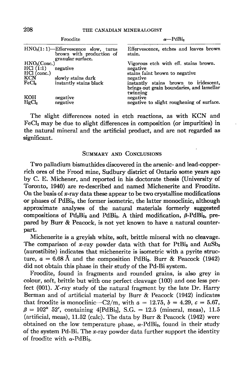|                                                          | Froodite                                                                                | $\alpha$ —PdBi <sub>2</sub>                                                                                |
|----------------------------------------------------------|-----------------------------------------------------------------------------------------|------------------------------------------------------------------------------------------------------------|
|                                                          | $HNOs(1:1)$ —Effervescence slow, turns<br>brown with production of<br>granular surface. | Effervescence, etches and leaves brown<br>stain.                                                           |
| HNO <sub>3</sub> (Conc.)<br>$HCl$ (1:1)<br>$HCl$ (conc.) | negative                                                                                | Vigorous etch with eff. stains brown.<br>negative<br>stains faint brown to negative                        |
| <b>KCN</b><br>FeCl <sub>s</sub>                          | slowly stains dark<br>instantly stains black                                            | negative<br>instantly stains brown to iridescent,<br>brings out grain boundaries, and lamellar<br>twinning |
| KOH<br>HgCl <sub>2</sub>                                 | negative<br>negative                                                                    | negative<br>negative to slight roughening of surface.                                                      |

The slight differences noted in etch reactions, as with KCN and FeCla may be due to slight differences in composition (or impurities) in the natural mineral and the artificial product, and are not regarded as significant.

#### SUMMARY AND CONCLUSIONS

Two palladium bismuthides discovered in the arsenic- and lead-copperrich ores of the Frood mine, Sudbury district of Ontario some years ago by C. E. Michener, and reported in his doctorate thesis (University of Toronto, 1940) are re-described and named Michenerite and Froodite. On the basis of  $x$ -ray data these appear to be two crystalline modifications or phases of PdBi<sub>2</sub>, the former isometric, the latter monoclinic, although approximate analyses of the natural materials forrnerly suggested compositions of Pd<sub>2</sub>Bi<sub>3</sub> and PdBi<sub>3</sub>. A third modification,  $\beta$ -PdBi<sub>2</sub>, prepared by Burr & Peacock, is not yet known to have a natural counterpart.

Michenerite is a greyish white, soft, brittle mineral with no cleavage. The comparison of x-ray powder data with that for  $PtBi<sub>2</sub>$  and  $AuSb<sub>2</sub>$ (aurostibite) indicates that michenerite is isometric with a pyrite structure,  $a = 6.68$  Å and the composition PdBi<sub>2</sub>. Burr & Peacock (1942) did not obtain this phase in their study of the Pd-Bi system.

Froodite, found in fragments and rounded grains, is also grey in colour, soft, brittle but with one perfect cleavage (100) and one less perfect (001). X-ray study of the natural fragment by the late Dr. Harry Berman and of artificial material by Burr & Peacock (L942) indicates that froodite is monoclinic- $C2/m$ , with  $a = 12.75$ ,  $b = 4.29$ ,  $c = 5.67$ ,  $\beta = 102^{\circ}$  52', containing 4[PdBi<sub>2</sub>], S.G. = 12.5 (mineral, meas), 11.5 (artificial, meas), 11.52 (calc). The data by Burr & Peacock (1942) were obtained on the low temperature phase,  $\alpha$ -PdBi<sub>2</sub>, found in their study of the system Pd-Bi. The x-ray powder data further support the identity of froodite with  $\alpha$ -PdBi<sub>2</sub>.